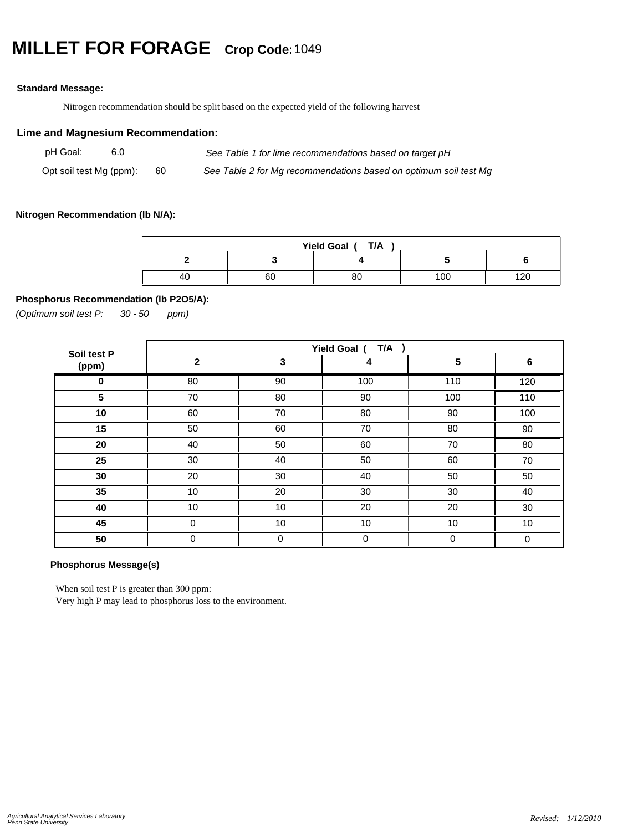## **MILLET FOR FORAGE Crop Code:**<sup>1049</sup>

## **Standard Message:**

Nitrogen recommendation should be split based on the expected yield of the following harvest

## **Lime and Magnesium Recommendation:**

| pH Goal:                |  |     | See Table 1 for lime recommendations based on target pH          |  |  |
|-------------------------|--|-----|------------------------------------------------------------------|--|--|
| Opt soil test Mg (ppm): |  | 60. | See Table 2 for Mg recommendations based on optimum soil test Mg |  |  |

#### **Nitrogen Recommendation (lb N/A):**

| Yield Goal (T/A |    |    |     |           |  |  |
|-----------------|----|----|-----|-----------|--|--|
|                 |    |    |     |           |  |  |
| -40             | 60 | οu | 100 | ה הו<br>~ |  |  |

## **Phosphorus Recommendation (lb P2O5/A):**

*(Optimum soil test P: 30 ppm) - 50*

| Soil test P | Yield Goal (T/A) |             |     |     |     |  |  |
|-------------|------------------|-------------|-----|-----|-----|--|--|
| (ppm)       | $\mathbf{2}$     | 3           | 4   | 5   | 6   |  |  |
| 0           | 80               | 90          | 100 | 110 | 120 |  |  |
| 5           | 70               | 80          | 90  | 100 | 110 |  |  |
| 10          | 60               | 70          | 80  | 90  | 100 |  |  |
| 15          | 50               | 60          | 70  | 80  | 90  |  |  |
| 20          | 40               | 50          | 60  | 70  | 80  |  |  |
| 25          | 30               | 40          | 50  | 60  | 70  |  |  |
| 30          | 20               | 30          | 40  | 50  | 50  |  |  |
| 35          | 10               | 20          | 30  | 30  | 40  |  |  |
| 40          | 10               | 10          | 20  | 20  | 30  |  |  |
| 45          | $\mathbf 0$      | 10          | 10  | 10  | 10  |  |  |
| 50          | 0                | $\mathbf 0$ | 0   | 0   | 0   |  |  |

## **Phosphorus Message(s)**

When soil test P is greater than 300 ppm:

Very high P may lead to phosphorus loss to the environment.